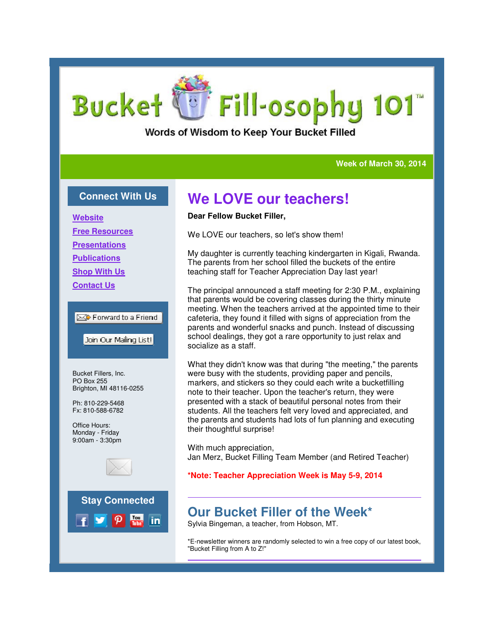# **Bucket** Fill-osophy 101

Words of Wisdom to Keep Your Bucket Filled

### **Week of March 30, 2014 Week of March 2014**

### **Connect With Us**

**Website**

**Free Resources**

**Presentations**

**Publications**

**Shop With Us**

**Contact Us**

### **Ext** Forward to a Friend

Join Our Mailing List!

Bucket Fillers, Inc. PO Box 255 Brighton, MI 48116-0255

Ph: 810-229-5468 Fx: 810-588-6782

Office Hours: Monday - Friday 9:00am - 3:30pm





# **We LOVE our teachers!**

### **Dear Fellow Bucket Filler,**

We LOVE our teachers, so let's show them!

My daughter is currently teaching kindergarten in Kigali, Rwanda. The parents from her school filled the buckets of the entire teaching staff for Teacher Appreciation Day last year!

The principal announced a staff meeting for 2:30 P.M., explaining that parents would be covering classes during the thirty minute meeting. When the teachers arrived at the appointed time to their cafeteria, they found it filled with signs of appreciation from the parents and wonderful snacks and punch. Instead of discussing school dealings, they got a rare opportunity to just relax and socialize as a staff. laughter is currently teaching kindergarten in Kigali, Rwanda.<br>parents from her school filled the buckets of the entire<br>hing staff for Teacher Appreciation Day last year!<br>principal announced a staff meeting for 2:30 P.M.,

What they didn't know was that during "the meeting," the parents were busy with the students, providing paper and pencils, markers, and stickers so they could each write a bucketfilling note to their teacher. Upon the teacher's return, they were presented with a stack of beautiful personal notes from their students. All the teachers felt very loved and appreciated, and the parents and students had lots of fun planning and executing their thoughtful surprise! school dealings, they got a rare opportunity to just relax and<br>socialize as a staff.<br>What they didn't know was that during "the meeting," the paren<br>were busy with the students, providing paper and pencils,<br>markers, and sti

With much appreciation, Jan Merz, Bucket Filling Team Member (and Retired

### **\*Note: Teacher Appreciation Week is May 5-9, 2014 9,**

### **Our Bucket Filler of the Week\* of the**

Sylvia Bingeman, a teacher, from Hobson, MT.

\*E-newsletter winners are randomly selected to win a free copy of our latest book, newsletter winners "Bucket Filling from A to Z!"